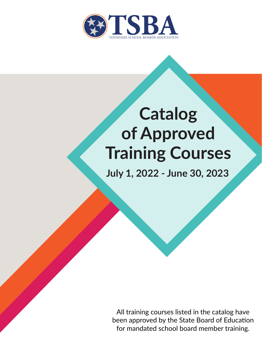

# **Catalog of Approved Training Courses**

**July 1, 2022 - June 30, 2023**

All training courses listed in the catalog have been approved by the State Board of Education for mandated school board member training.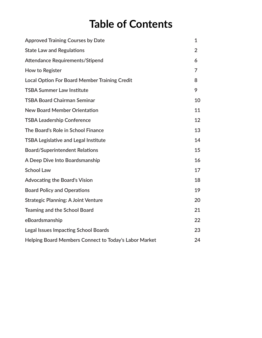### **Table of Contents**

| <b>Approved Training Courses by Date</b>              | 1              |
|-------------------------------------------------------|----------------|
| <b>State Law and Regulations</b>                      | $\overline{2}$ |
| <b>Attendance Requirements/Stipend</b>                | 6              |
| How to Register                                       | 7              |
| <b>Local Option For Board Member Training Credit</b>  | 8              |
| <b>TSBA Summer Law Institute</b>                      | 9              |
| <b>TSBA Board Chairman Seminar</b>                    | 10             |
| <b>New Board Member Orientation</b>                   | 11             |
| <b>TSBA Leadership Conference</b>                     | 12             |
| The Board's Role in School Finance                    | 13             |
| <b>TSBA Legislative and Legal Institute</b>           | 14             |
| <b>Board/Superintendent Relations</b>                 | 15             |
| A Deep Dive Into Boardsmanship                        | 16             |
| <b>School Law</b>                                     | 17             |
| <b>Advocating the Board's Vision</b>                  | 18             |
| <b>Board Policy and Operations</b>                    | 19             |
| <b>Strategic Planning: A Joint Venture</b>            | 20             |
| <b>Teaming and the School Board</b>                   | 21             |
| eBoardsmanship                                        | 22             |
| <b>Legal Issues Impacting School Boards</b>           | 23             |
| Helping Board Members Connect to Today's Labor Market | 24             |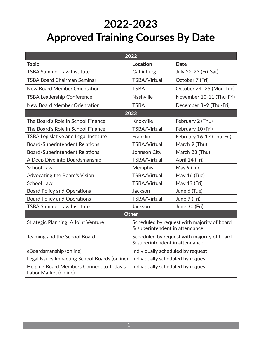### **2022-2023 Approved Training Courses By Date**

| 2022                                                              |                                                                                |                          |
|-------------------------------------------------------------------|--------------------------------------------------------------------------------|--------------------------|
| <b>Topic</b>                                                      | Location                                                                       | <b>Date</b>              |
| <b>TSBA Summer Law Institute</b>                                  | Gatlinburg                                                                     | July 22-23 (Fri-Sat)     |
| <b>TSBA Board Chairman Seminar</b>                                | TSBA/Virtual                                                                   | October 7 (Fri)          |
| New Board Member Orientation                                      | <b>TSBA</b>                                                                    | October 24-25 (Mon-Tue)  |
| <b>TSBA Leadership Conference</b>                                 | <b>Nashville</b>                                                               | November 10-11 (Thu-Fri) |
| <b>New Board Member Orientation</b>                               | <b>TSBA</b>                                                                    | December 8-9 (Thu-Fri)   |
|                                                                   | 2023                                                                           |                          |
| The Board's Role in School Finance                                | Knoxville                                                                      | February 2 (Thu)         |
| The Board's Role in School Finance                                | TSBA/Virtual                                                                   | February 10 (Fri)        |
| TSBA Legislative and Legal Institute                              | Franklin                                                                       | February 16-17 (Thu-Fri) |
| <b>Board/Superintendent Relations</b>                             | <b>TSBA/Virtual</b>                                                            | March 9 (Thu)            |
| <b>Board/Superintendent Relations</b>                             | Johnson City                                                                   | March 23 (Thu)           |
| A Deep Dive into Boardsmanship                                    | TSBA/Virtual                                                                   | April 14 (Fri)           |
| <b>School Law</b>                                                 | Memphis                                                                        | May 9 (Tue)              |
| Advocating the Board's Vision                                     | TSBA/Virtual                                                                   | May 16 (Tue)             |
| <b>School Law</b>                                                 | TSBA/Virtual                                                                   | May 19 (Fri)             |
| <b>Board Policy and Operations</b>                                | Jackson                                                                        | June 6 (Tue)             |
| <b>Board Policy and Operations</b>                                | TSBA/Virtual                                                                   | June 9 (Fri)             |
| <b>TSBA Summer Law Institute</b>                                  | Jackson                                                                        | June 30 (Fri)            |
| Other                                                             |                                                                                |                          |
| Strategic Planning: A Joint Venture                               | Scheduled by request with majority of board<br>& superintendent in attendance. |                          |
| Teaming and the School Board                                      | Scheduled by request with majority of board<br>& superintendent in attendance. |                          |
| eBoardsmanship (online)                                           | Individually scheduled by request                                              |                          |
| Legal Issues Impacting School Boards (online)                     | Individually scheduled by request                                              |                          |
| Helping Board Members Connect to Today's<br>Labor Market (online) | Individually scheduled by request                                              |                          |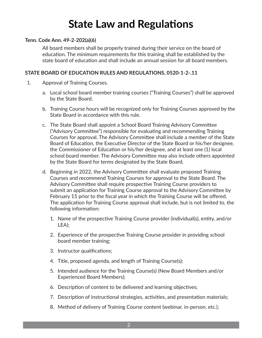### **State Law and Regulations**

#### **Tenn. Code Ann. 49-2-202(a)(6)**

All board members shall be properly trained during their service on the board of education. The minimum requirements for this training shall be established by the state board of education and shall include an annual session for all board members.

#### **STATE BOARD OF EDUCATION RULES AND REGULATIONS, 0520-1-2-.11**

- 1. Approval of Training Courses.
	- a. Local school board member training courses ("Training Courses") shall be approved by the State Board.
	- b. Training Course hours will be recognized only for Training Courses approved by the State Board in accordance with this rule.
	- c. The State Board shall appoint a School Board Training Advisory Committee ("Advisory Committee") responsible for evaluating and recommending Training Courses for approval. The Advisory Committee shall include a member of the State Board of Education, the Executive Director of the State Board or his/her designee, the Commissioner of Education or his/her designee, and at least one (1) local school board member. The Advisory Committee may also include others appointed by the State Board for terms designated by the State Board.
	- d. Beginning in 2022, the Advisory Committee shall evaluate proposed Training Courses and recommend Training Courses for approval to the State Board. The Advisory Committee shall require prospective Training Course providers to submit an application for Training Course approval to the Advisory Committee by February 15 prior to the fiscal year in which the Training Course will be offered. The application for Training Course approval shall include, but is not limited to, the following information:
		- 1. Name of the prospective Training Course provider (individual(s), entity, and/or LEA);
		- 2. Experience of the prospective Training Course provider in providing school board member training;
		- 3. Instructor qualifications;
		- 4. Title, proposed agenda, and length of Training Course(s);
		- 5. Intended audience for the Training Course(s) (New Board Members and/or Experienced Board Members);
		- 6. Description of content to be delivered and learning objectives;
		- 7. Description of instructional strategies, activities, and presentation materials;
		- 8. Method of delivery of Training Course content (webinar, in-person, etc.);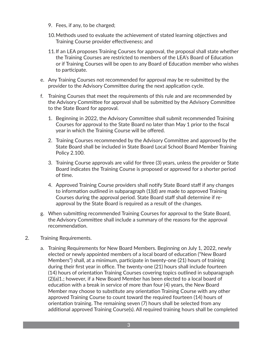- 9. Fees, if any, to be charged;
- 10.Methods used to evaluate the achievement of stated learning objectives and Training Course provider effectiveness; and
- 11.If an LEA proposes Training Courses for approval, the proposal shall state whether the Training Courses are restricted to members of the LEA's Board of Education or if Training Courses will be open to any Board of Education member who wishes to participate.
- e. Any Training Courses not recommended for approval may be re-submitted by the provider to the Advisory Committee during the next application cycle.
- f. Training Courses that meet the requirements of this rule and are recommended by the Advisory Committee for approval shall be submitted by the Advisory Committee to the State Board for approval.
	- 1. Beginning in 2022, the Advisory Committee shall submit recommended Training Courses for approval to the State Board no later than May 1 prior to the fiscal year in which the Training Course will be offered.
	- 2. Training Courses recommended by the Advisory Committee and approved by the State Board shall be included in State Board Local School Board Member Training Policy 2.100.
	- 3. Training Course approvals are valid for three (3) years, unless the provider or State Board indicates the Training Course is proposed or approved for a shorter period of time.
	- 4. Approved Training Course providers shall notify State Board staff if any changes to information outlined in subparagraph (1)(d) are made to approved Training Courses during the approval period. State Board staff shall determine if reapproval by the State Board is required as a result of the changes.
- g. When submitting recommended Training Courses for approval to the State Board, the Advisory Committee shall include a summary of the reasons for the approval recommendation.
- 2. Training Requirements.
	- a. Training Requirements for New Board Members. Beginning on July 1, 2022, newly elected or newly appointed members of a local board of education ("New Board Members") shall, at a minimum, participate in twenty-one (21) hours of training during their first year in office. The twenty-one (21) hours shall include fourteen (14) hours of orientation Training Courses covering topics outlined in subparagraph (2)(a)1.; however, if a New Board Member has been elected to a local board of education with a break in service of more than four (4) years, the New Board Member may choose to substitute any orientation Training Course with any other approved Training Course to count toward the required fourteen (14) hours of orientation training. The remaining seven (7) hours shall be selected from any additional approved Training Course(s). All required training hours shall be completed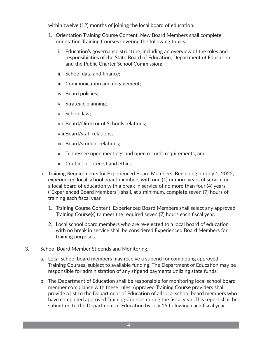within twelve (12) months of joining the local board of education.

- 1. Orientation Training Course Content. New Board Members shall complete orientation Training Courses covering the following topics:
	- i. Education's governance structure, including an overview of the roles and responsibilities of the State Board of Education, Department of Education, and the Public Charter School Commission;
	- ii. School data and finance;
	- iii. Communication and engagement;
	- iv. Board policies;
	- v. Strategic planning;
	- vi. School law;
	- vii. Board/Director of Schools relations;
	- viii.Board/staff relations;
	- ix. Board/student relations;
	- x. Tennessee open meetings and open records requirements; and
	- xi. Conflict of interest and ethics.
- b. Training Requirements for Experienced Board Members. Beginning on July 1, 2022, experienced local school board members with one (1) or more years of service on a local board of education with a break in service of no more than four (4) years ("Experienced Board Members") shall, at a minimum, complete seven (7) hours of training each fiscal year.
	- 1. Training Course Content. Experienced Board Members shall select any approved Training Course(s) to meet the required seven (7) hours each fiscal year.
	- 2. Local school board members who are re-elected to a local board of education with no break in service shall be considered Experienced Board Members for training purposes.
- 3. School Board Member Stipends and Monitoring.
	- a. Local school board members may receive a stipend for completing approved Training Courses, subject to available funding. The Department of Education may be responsible for administration of any stipend payments utilizing state funds.
	- b. The Department of Education shall be responsible for monitoring local school board member compliance with these rules. Approved Training Course providers shall provide a list to the Department of Education of all local school board members who have completed approved Training Courses during the fiscal year. This report shall be submitted to the Department of Education by July 15 following each fiscal year.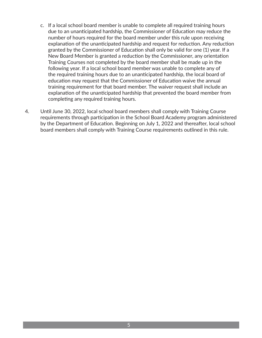- c. If a local school board member is unable to complete all required training hours due to an unanticipated hardship, the Commissioner of Education may reduce the number of hours required for the board member under this rule upon receiving explanation of the unanticipated hardship and request for reduction. Any reduction granted by the Commissioner of Education shall only be valid for one (1) year. If a New Board Member is granted a reduction by the Commissioner, any orientation Training Courses not completed by the board member shall be made up in the following year. If a local school board member was unable to complete any of the required training hours due to an unanticipated hardship, the local board of education may request that the Commissioner of Education waive the annual training requirement for that board member. The waiver request shall include an explanation of the unanticipated hardship that prevented the board member from completing any required training hours.
- 4. Until June 30, 2022, local school board members shall comply with Training Course requirements through participation in the School Board Academy program administered by the Department of Education. Beginning on July 1, 2022 and thereafter, local school board members shall comply with Training Course requirements outlined in this rule.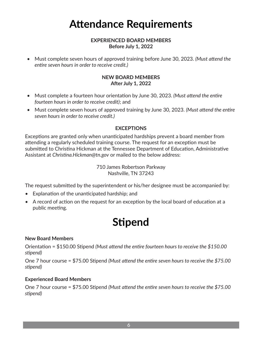### **Attendance Requirements**

#### **EXPERIENCED BOARD MEMBERS Before July 1, 2022**

• Must complete seven hours of approved training before June 30, 2023. *(Must attend the entire seven hours in order to receive credit.)*

#### **NEW BOARD MEMBERS After July 1, 2022**

- Must complete a fourteen hour orientation by June 30, 2023. *(Must attend the entire fourteen hours in order to receive credit)*; and
- Must complete seven hours of approved training by June 30, 2023. *(Must attend the entire seven hours in order to receive credit.)*

#### **EXCEPTIONS**

Exceptions are granted only when unanticipated hardships prevent a board member from attending a regularly scheduled training course. The request for an exception must be submitted to Christina Hickman at the Tennessee Department of Education, Administrative Assistant at *Christina.Hickman@tn.gov* or mailed to the below address:

> 710 James Robertson Parkway Nashville, TN 37243

The request submitted by the superintendent or his/her designee must be accompanied by:

- Explanation of the unanticipated hardship; and
- A record of action on the request for an exception by the local board of education at a public meeting.

### **Stipend**

#### **New Board Members**

Orientation = \$150.00 Stipend *(Must attend the entire fourteen hours to receive the \$150.00 stipend)*

One 7 hour course = \$75.00 Stipend *(Must attend the entire seven hours to receive the \$75.00 stipend)*

#### **Experienced Board Members**

One 7 hour course = \$75.00 Stipend *(Must attend the entire seven hours to receive the \$75.00 stipend)*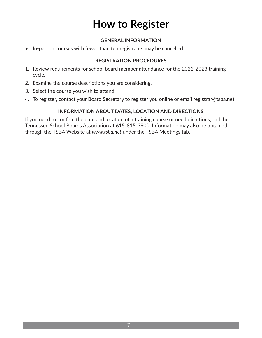### **How to Register**

#### **GENERAL INFORMATION**

• In-person courses with fewer than ten registrants may be cancelled.

#### **REGISTRATION PROCEDURES**

- 1. Review requirements for school board member attendance for the 2022-2023 training cycle.
- 2. Examine the course descriptions you are considering.
- 3. Select the course you wish to attend.
- 4. To register, contact your Board Secretary to register you online or email registrar@tsba.net.

#### **INFORMATION ABOUT DATES, LOCATION AND DIRECTIONS**

If you need to confirm the date and location of a training course or need directions, call the Tennessee School Boards Association at 615-815-3900. Information may also be obtained through the TSBA Website at *www.tsba.net* under the TSBA Meetings tab.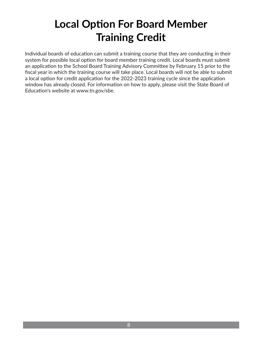### **Local Option For Board Member Training Credit**

Individual boards of education can submit a training course that they are conducting in their system for possible local option for board member training credit. Local boards must submit an application to the School Board Training Advisory Committee by February 15 prior to the fiscal year in which the training course will take place. Local boards will not be able to submit a local option for credit application for the 2022-2023 training cycle since the application window has already closed. For information on how to apply, please visit the State Board of Education's website at www.tn.gov/sbe.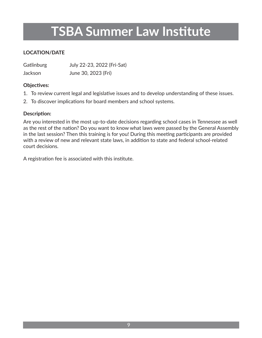### **TSBA Summer Law Institute**

#### **LOCATION/DATE**

Gatlinburg July 22-23, 2022 (Fri-Sat) Jackson June 30, 2023 (Fri)

#### **Objectives:**

- 1. To review current legal and legislative issues and to develop understanding of these issues.
- 2. To discover implications for board members and school systems.

#### **Description:**

Are you interested in the most up-to-date decisions regarding school cases in Tennessee as well as the rest of the nation? Do you want to know what laws were passed by the General Assembly in the last session? Then this training is for you! During this meeting participants are provided with a review of new and relevant state laws, in addition to state and federal school-related court decisions.

A registration fee is associated with this institute.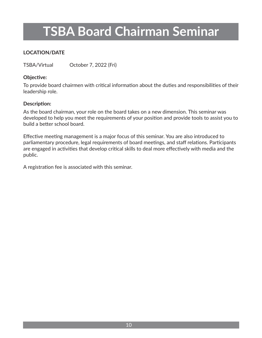## **TSBA Board Chairman Seminar**

#### **LOCATION/DATE**

TSBA/Virtual October 7, 2022 (Fri)

#### **Objective:**

To provide board chairmen with critical information about the duties and responsibilities of their leadership role.

#### **Description:**

As the board chairman, your role on the board takes on a new dimension. This seminar was developed to help you meet the requirements of your position and provide tools to assist you to build a better school board.

Effective meeting management is a major focus of this seminar. You are also introduced to parliamentary procedure, legal requirements of board meetings, and staff relations. Participants are engaged in activities that develop critical skills to deal more effectively with media and the public.

A registration fee is associated with this seminar.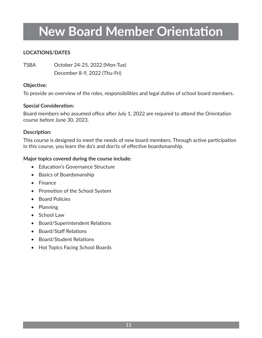### **New Board Member Orientation**

#### **LOCATIONS/DATES**

TSBA October 24-25, 2022 (Mon-Tue) December 8-9, 2022 (Thu-Fri)

#### **Objective:**

To provide an overview of the roles, responsibilities and legal duties of school board members.

#### **Special Consideration:**

Board members who assumed office after July 1, 2022 are required to attend the Orientation course before June 30, 2023.

#### **Description:**

This course is designed to meet the needs of new board members. Through active participation in this course, you learn the do's and don'ts of effective boardsmanship.

- Education's Governance Structure
- Basics of Boardsmanship
- Finance
- Promotion of the School System
- Board Policies
- Planning
- School Law
- Board/Superintendent Relations
- Board/Staff Relations
- Board/Student Relations
- Hot Topics Facing School Boards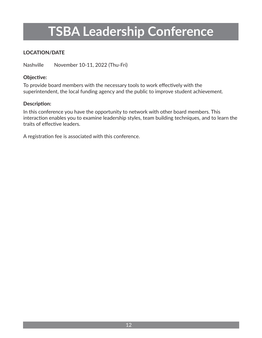## **TSBA Leadership Conference**

#### **LOCATION/DATE**

Nashville November 10-11, 2022 (Thu-Fri)

#### **Objective:**

To provide board members with the necessary tools to work effectively with the superintendent, the local funding agency and the public to improve student achievement.

#### **Description:**

In this conference you have the opportunity to network with other board members. This interaction enables you to examine leadership styles, team building techniques, and to learn the traits of effective leaders.

A registration fee is associated with this conference.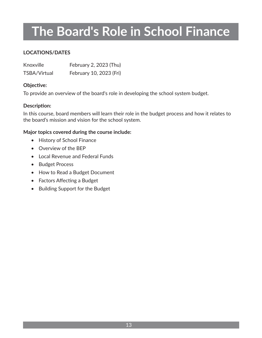## **The Board's Role in School Finance**

#### **LOCATIONS/DATES**

| Knoxville           | February 2, 2023 (Thu)  |
|---------------------|-------------------------|
| <b>TSBA/Virtual</b> | February 10, 2023 (Fri) |

#### **Objective:**

To provide an overview of the board's role in developing the school system budget.

#### **Description:**

In this course, board members will learn their role in the budget process and how it relates to the board's mission and vision for the school system.

- History of School Finance
- Overview of the BEP
- Local Revenue and Federal Funds
- Budget Process
- How to Read a Budget Document
- Factors Affecting a Budget
- Building Support for the Budget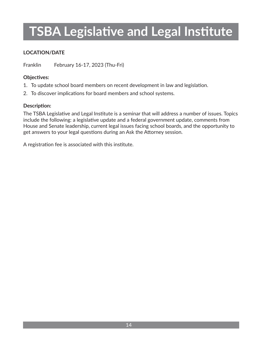## **TSBA Legislative and Legal Institute**

#### **LOCATION/DATE**

Franklin February 16-17, 2023 (Thu-Fri)

#### **Objectives:**

- 1. To update school board members on recent development in law and legislation.
- 2. To discover implications for board members and school systems.

#### **Description:**

The TSBA Legislative and Legal Institute is a seminar that will address a number of issues. Topics include the following: a legislative update and a federal government update, comments from House and Senate leadership, current legal issues facing school boards, and the opportunity to get answers to your legal questions during an Ask the Attorney session.

A registration fee is associated with this institute.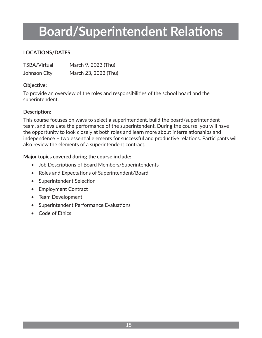## **Board/Superintendent Relations**

#### **LOCATIONS/DATES**

| <b>TSBA/Virtual</b> | March 9, 2023 (Thu)  |
|---------------------|----------------------|
| Johnson City        | March 23, 2023 (Thu) |

#### **Objective:**

To provide an overview of the roles and responsibilities of the school board and the superintendent.

#### **Description:**

This course focuses on ways to select a superintendent, build the board/superintendent team, and evaluate the performance of the superintendent. During the course, you will have the opportunity to look closely at both roles and learn more about interrelationships and independence – two essential elements for successful and productive relations. Participants will also review the elements of a superintendent contract.

- Job Descriptions of Board Members/Superintendents
- Roles and Expectations of Superintendent/Board
- Superintendent Selection
- Employment Contract
- Team Development
- Superintendent Performance Evaluations
- Code of Ethics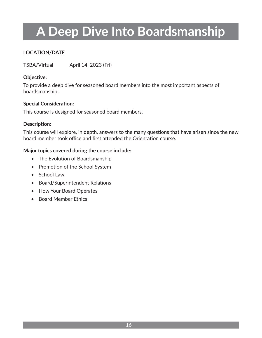## **A Deep Dive Into Boardsmanship**

#### **LOCATION/DATE**

TSBA/Virtual April 14, 2023 (Fri)

#### **Objective:**

To provide a deep dive for seasoned board members into the most important aspects of boardsmanship.

#### **Special Consideration:**

This course is designed for seasoned board members.

#### **Description:**

This course will explore, in depth, answers to the many questions that have arisen since the new board member took office and first attended the Orientation course.

- The Evolution of Boardsmanship
- Promotion of the School System
- School Law
- Board/Superintendent Relations
- How Your Board Operates
- Board Member Ethics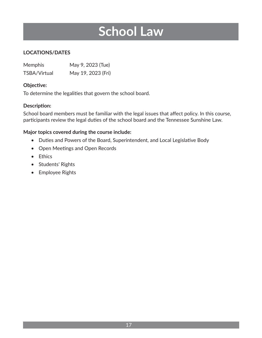### **School Law**

#### **LOCATIONS/DATES**

| <b>Memphis</b>      | May 9, 2023 (Tue)  |
|---------------------|--------------------|
| <b>TSBA/Virtual</b> | May 19, 2023 (Fri) |

#### **Objective:**

To determine the legalities that govern the school board.

#### **Description:**

School board members must be familiar with the legal issues that affect policy. In this course, participants review the legal duties of the school board and the Tennessee Sunshine Law.

- Duties and Powers of the Board, Superintendent, and Local Legislative Body
- Open Meetings and Open Records
- Ethics
- Students' Rights
- Employee Rights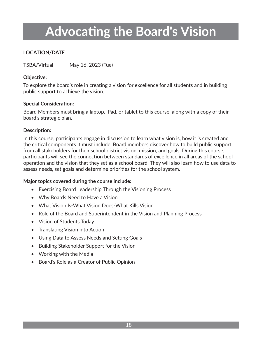## **Advocating the Board's Vision**

#### **LOCATION/DATE**

TSBA/Virtual May 16, 2023 (Tue)

#### **Objective:**

To explore the board's role in creating a vision for excellence for all students and in building public support to achieve the vision.

#### **Special Consideration:**

Board Members must bring a laptop, iPad, or tablet to this course, along with a copy of their board's strategic plan.

#### **Description:**

In this course, participants engage in discussion to learn what vision is, how it is created and the critical components it must include. Board members discover how to build public support from all stakeholders for their school district vision, mission, and goals. During this course, participants will see the connection between standards of excellence in all areas of the school operation and the vision that they set as a school board. They will also learn how to use data to assess needs, set goals and determine priorities for the school system.

- Exercising Board Leadership Through the Visioning Process
- Why Boards Need to Have a Vision
- What Vision Is-What Vision Does-What Kills Vision
- Role of the Board and Superintendent in the Vision and Planning Process
- Vision of Students Today
- Translating Vision into Action
- Using Data to Assess Needs and Setting Goals
- Building Stakeholder Support for the Vision
- Working with the Media
- Board's Role as a Creator of Public Opinion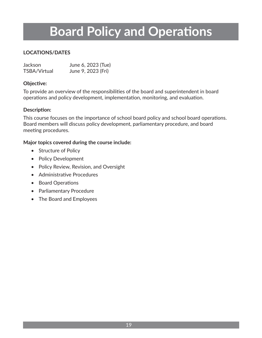### **Board Policy and Operations**

#### **LOCATIONS/DATES**

| <b>Jackson</b>      | June 6, 2023 (Tue) |
|---------------------|--------------------|
| <b>TSBA/Virtual</b> | June 9, 2023 (Fri) |

#### **Objective:**

To provide an overview of the responsibilities of the board and superintendent in board operations and policy development, implementation, monitoring, and evaluation.

#### **Description:**

This course focuses on the importance of school board policy and school board operations. Board members will discuss policy development, parliamentary procedure, and board meeting procedures.

- Structure of Policy
- Policy Development
- Policy Review, Revision, and Oversight
- Administrative Procedures
- Board Operations
- Parliamentary Procedure
- The Board and Employees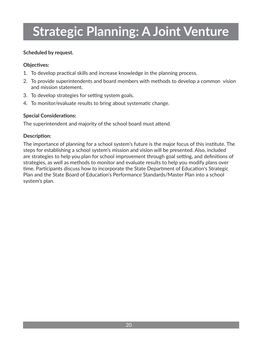## **Strategic Planning: A Joint Venture**

#### **Scheduled by request.**

#### **Objectives:**

- 1. To develop practical skills and increase knowledge in the planning process.
- 2. To provide superintendents and board members with methods to develop a common vision and mission statement.
- 3. To develop strategies for setting system goals.
- 4. To monitor/evaluate results to bring about systematic change.

#### **Special Considerations:**

The superintendent and majority of the school board must attend.

#### **Description:**

The importance of planning for a school system's future is the major focus of this institute. The steps for establishing a school system's mission and vision will be presented. Also, included are strategies to help you plan for school improvement through goal setting, and definitions of strategies, as well as methods to monitor and evaluate results to help you modify plans over time. Participants discuss how to incorporate the State Department of Education's Strategic Plan and the State Board of Education's Performance Standards/Master Plan into a school system's plan.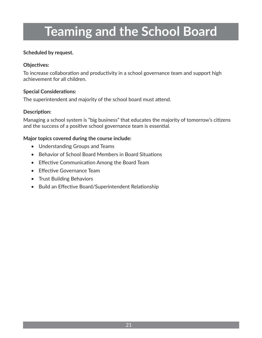## **Teaming and the School Board**

#### **Scheduled by request.**

#### **Objectives:**

To increase collaboration and productivity in a school governance team and support high achievement for all children.

#### **Special Considerations:**

The superintendent and majority of the school board must attend.

#### **Description:**

Managing a school system is "big business" that educates the majority of tomorrow's citizens and the success of a positive school governance team is essential.

- Understanding Groups and Teams
- Behavior of School Board Members in Board Situations
- Effective Communication Among the Board Team
- Effective Governance Team
- Trust Building Behaviors
- Build an Effective Board/Superintendent Relationship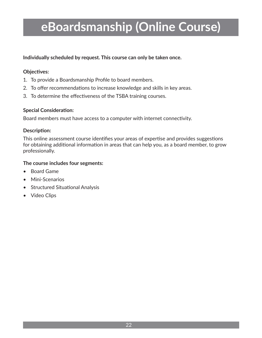### **eBoardsmanship (Online Course)**

**Individually scheduled by request. This course can only be taken once.**

#### **Objectives:**

- 1. To provide a Boardsmanship Profile to board members.
- 2. To offer recommendations to increase knowledge and skills in key areas.
- 3. To determine the effectiveness of the TSBA training courses.

#### **Special Consideration:**

Board members must have access to a computer with internet connectivity.

#### **Description:**

This online assessment course identifies your areas of expertise and provides suggestions for obtaining additional information in areas that can help you, as a board member, to grow professionally.

#### **The course includes four segments:**

- Board Game
- Mini-Scenarios
- Structured Situational Analysis
- Video Clips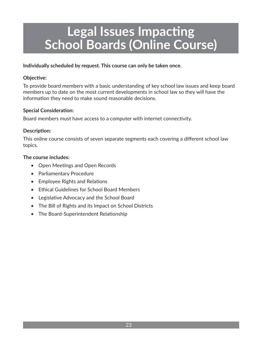### **Legal Issues Impacting School Boards (Online Course)**

#### **Individually scheduled by request. This course can only be taken once.**

#### **Objective:**

To provide board members with a basic understanding of key school law issues and keep board members up to date on the most current developments in school law so they will have the information they need to make sound reasonable decisions.

#### **Special Consideration:**

Board members must have access to a computer with internet connectivity.

#### **Description:**

This online course consists of seven separate segments each covering a different school law topics.

#### **The course includes:**

- Open Meetings and Open Records
- Parliamentary Procedure
- Employee Rights and Relations
- Ethical Guidelines for School Board Members
- Legislative Advocacy and the School Board
- The Bill of Rights and its Impact on School Districts
- The Board-Superintendent Relationship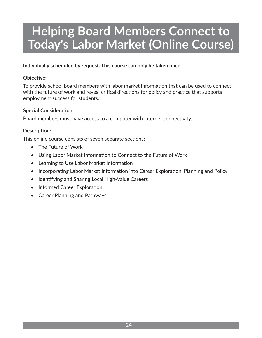### **Helping Board Members Connect to Today's Labor Market (Online Course)**

**Individually scheduled by request. This course can only be taken once.**

#### **Objective:**

To provide school board members with labor market information that can be used to connect with the future of work and reveal critical directions for policy and practice that supports employment success for students.

#### **Special Consideration:**

Board members must have access to a computer with internet connectivity.

#### **Description:**

This online course consists of seven separate sections:

- The Future of Work
- Using Labor Market Information to Connect to the Future of Work
- Learning to Use Labor Market Information
- Incorporating Labor Market Information into Career Exploration, Planning and Policy
- Identifying and Sharing Local High-Value Careers
- Informed Career Exploration
- Career Planning and Pathways